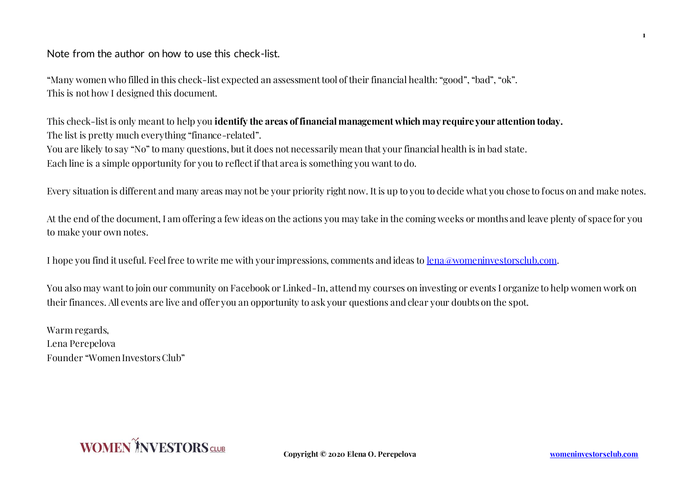Note from the author on how to use this check-list.

"Many women who filled in this check-list expected an assessment tool of their financial health: "good", "bad", "ok". This is not how I designed this document.

This check-list is only meant to help you **identify the areas of financial management which may require your attention today.**  The list is pretty much everything "finance-related". You are likely to say "No" to many questions, but it does not necessarily mean that your financial health is in bad state. Each line is a simple opportunity for you to reflect if that area is something you want to do.

Every situation is different and many areas may not be your priority right now. It is up to you to decide what you chose to focus on and make notes.

At the end of the document, I am offering a few ideas on the actions you may take in the coming weeks or months and leave plenty of space for you to make your own notes.

I hope you find it useful. Feel free to write me with your impressions, comments and ideas to lena@womeninvestorsclub.com.

You also may want to join our community on Facebook or Linked-In, attend my courses on investing or events I organize to help women work on their finances. All events are live and offer you an opportunity to ask your questions and clear your doubts on the spot.

Warm regards, Lena Perepelova Founder "Women Investors Club"



**Copyright © 2020 Elena O. Perepelova womeninvestorsclub.com**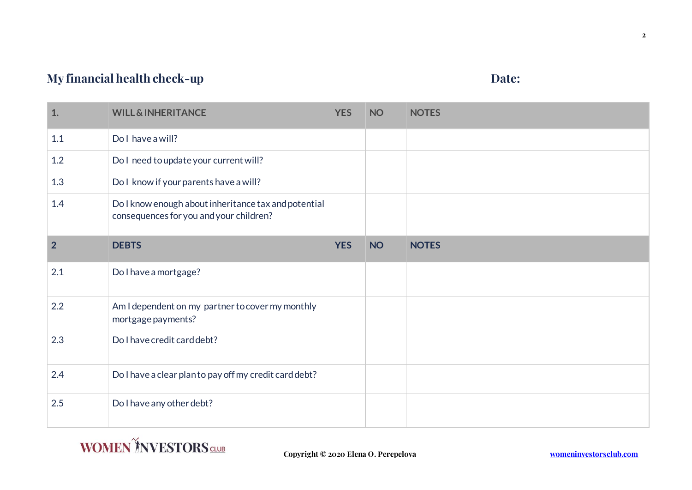## **My financial health check-up Date: Date: Date:**

| 1.             | <b>WILL &amp; INHERITANCE</b>                                                                   | <b>YES</b> | <b>NO</b> | <b>NOTES</b> |
|----------------|-------------------------------------------------------------------------------------------------|------------|-----------|--------------|
| 1.1            | Do I have a will?                                                                               |            |           |              |
| 1.2            | Do I need to update your current will?                                                          |            |           |              |
| 1.3            | Do I know if your parents have a will?                                                          |            |           |              |
| 1.4            | Do I know enough about inheritance tax and potential<br>consequences for you and your children? |            |           |              |
| $\overline{2}$ | <b>DEBTS</b>                                                                                    | <b>YES</b> | <b>NO</b> | <b>NOTES</b> |
| 2.1            | Do I have a mortgage?                                                                           |            |           |              |
| 2.2            | Am I dependent on my partner to cover my monthly<br>mortgage payments?                          |            |           |              |
| 2.3            | Do I have credit card debt?                                                                     |            |           |              |
| 2.4            | Do I have a clear planto pay off my credit card debt?                                           |            |           |              |
| 2.5            | Do I have any other debt?                                                                       |            |           |              |

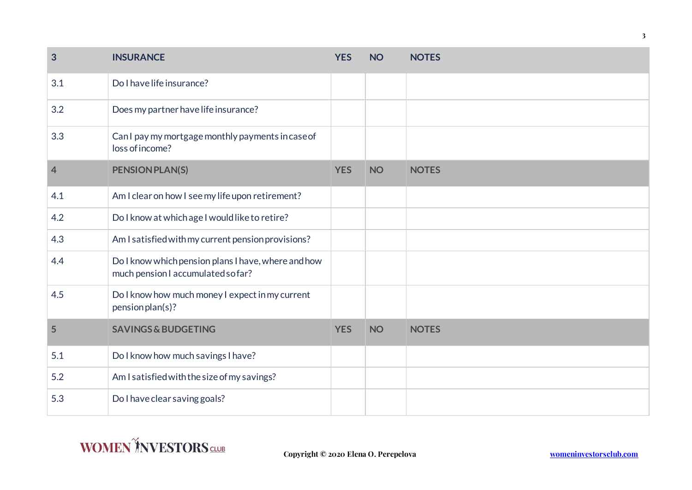| 3              | <b>INSURANCE</b>                                                                         | <b>YES</b> | <b>NO</b> | <b>NOTES</b> |
|----------------|------------------------------------------------------------------------------------------|------------|-----------|--------------|
| 3.1            | Do I have life insurance?                                                                |            |           |              |
| 3.2            | Does my partner have life insurance?                                                     |            |           |              |
| 3.3            | Can I pay my mortgage monthly payments in case of<br>loss of income?                     |            |           |              |
| $\overline{4}$ | <b>PENSION PLAN(S)</b>                                                                   | <b>YES</b> | <b>NO</b> | <b>NOTES</b> |
| 4.1            | Am I clear on how I see my life upon retirement?                                         |            |           |              |
| 4.2            | Do I know at which age I would like to retire?                                           |            |           |              |
| 4.3            | Am I satisfied with my current pension provisions?                                       |            |           |              |
| 4.4            | Do I know which pension plans I have, where and how<br>much pension I accumulated sofar? |            |           |              |
| 4.5            | Do I know how much money I expect in my current<br>pension plan(s)?                      |            |           |              |
| 5              | <b>SAVINGS &amp; BUDGETING</b>                                                           | <b>YES</b> | <b>NO</b> | <b>NOTES</b> |
| 5.1            | Do I know how much savings I have?                                                       |            |           |              |
| 5.2            | Am I satisfied with the size of my savings?                                              |            |           |              |
| 5.3            | Do I have clear saving goals?                                                            |            |           |              |

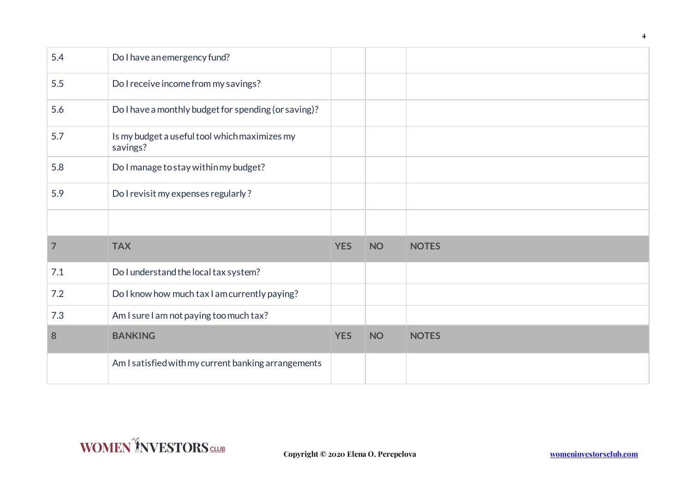| 5.4            | Do I have an emergency fund?                              |            |           |              |
|----------------|-----------------------------------------------------------|------------|-----------|--------------|
| 5.5            | Do I receive income from my savings?                      |            |           |              |
| 5.6            | Do I have a monthly budget for spending (or saving)?      |            |           |              |
| 5.7            | Is my budget a useful tool which maximizes my<br>savings? |            |           |              |
| 5.8            | Do I manage to stay within my budget?                     |            |           |              |
| 5.9            | Do I revisit my expenses regularly?                       |            |           |              |
|                |                                                           |            |           |              |
| $\overline{7}$ | <b>TAX</b>                                                | <b>YES</b> | <b>NO</b> | <b>NOTES</b> |
| 7.1            | Do I understand the local tax system?                     |            |           |              |
| 7.2            | Do I know how much tax I am currently paying?             |            |           |              |
| 7.3            | Am I sure I am not paying too much tax?                   |            |           |              |
| 8              | <b>BANKING</b>                                            | <b>YES</b> | <b>NO</b> | <b>NOTES</b> |
|                | Am I satisfied with my current banking arrangements       |            |           |              |